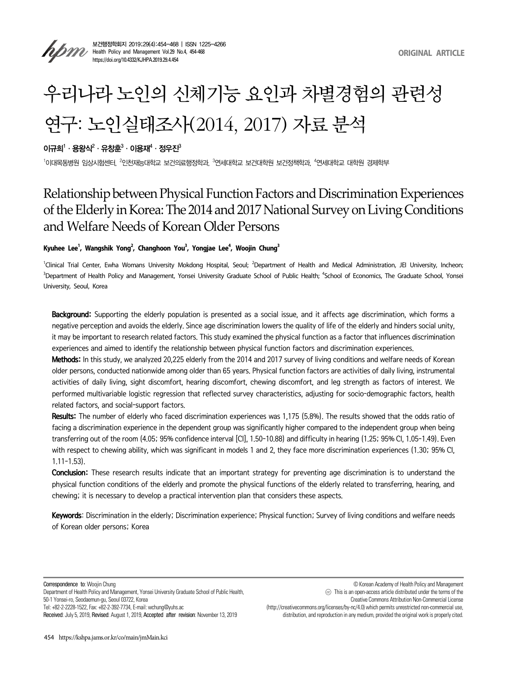

보건행정학회지 2019;29(4):454-468 | ISSN 1225-4266 **Health Policy and Management Vol.29 No.4, 454-468**<br>Management Vol.29 No.4, 454-468 https://doi.org/10.4332/KJHPA.2019.29.4.454

# 우리나라 노인의 신체기능 요인과 차별경험의 관련성 연구: 노인실태조사(2014, 2017) 자료 분석

이규희<sup>1</sup> · 용왕식<sup>2</sup> · 유창훈<sup>3</sup> · 이용재<sup>4</sup> · 정우진<sup>3</sup>

<sup>1</sup>이대목동병원 임상시험센터, <sup>2</sup>인천재능대학교 보건의료행정학과, <sup>3</sup>연세대학교 보건대학원 보건정책학과, <sup>4</sup>연세대학교 대학원 경제학부

# Relationship between Physical Function Factors and Discrimination Experiences of the Elderly in Korea: The 2014 and 2017 National Survey on Living Conditions and Welfare Needs of Korean Older Persons

# **Kyuhee Lee1 , Wangshik Yong2 , Changhoon You3 , Yongjae Lee4 , Woojin Chung3**

<sup>1</sup>Clinical Trial Center, Ewha Womans University Mokdong Hospital, Seoul; <sup>2</sup>Department of Health and Medical Administration, JEI University, Incheon; <sup>3</sup>Department of Health Policy and Management, Yonsei University Graduate School of Public Health; <sup>4</sup>School of Economics, The Graduate School, Yonsei University, Seoul, Korea

Background: Supporting the elderly population is presented as a social issue, and it affects age discrimination, which forms a negative perception and avoids the elderly. Since age discrimination lowers the quality of life of the elderly and hinders social unity, it may be important to research related factors. This study examined the physical function as a factor that influences discrimination experiences and aimed to identify the relationship between physical function factors and discrimination experiences.

Methods: In this study, we analyzed 20,225 elderly from the 2014 and 2017 survey of living conditions and welfare needs of Korean older persons, conducted nationwide among older than 65 years. Physical function factors are activities of daily living, instrumental activities of daily living, sight discomfort, hearing discomfort, chewing discomfort, and leg strength as factors of interest. We performed multivariable logistic regression that reflected survey characteristics, adjusting for socio-demographic factors, health related factors, and social-support factors.

Results: The number of elderly who faced discrimination experiences was 1,175 (5.8%). The results showed that the odds ratio of facing a discrimination experience in the dependent group was significantly higher compared to the independent group when being transferring out of the room (4.05; 95% confidence interval [CI], 1.50–10.88) and difficulty in hearing (1.25; 95% CI, 1.05–1.49). Even with respect to chewing ability, which was significant in models 1 and 2, they face more discrimination experiences (1.30; 95% CI, 1.11–1.53).

Conclusion: These research results indicate that an important strategy for preventing age discrimination is to understand the physical function conditions of the elderly and promote the physical functions of the elderly related to transferring, hearing, and chewing; it is necessary to develop a practical intervention plan that considers these aspects.

Keywords: Discrimination in the elderly; Discrimination experience; Physical function; Survey of living conditions and welfare needs of Korean older persons; Korea

Correspondence to: Woojin Chung

Department of Health Policy and Management, Yonsei University Graduate School of Public Health, 50-1 Yonsei-ro, Seodaemun-gu, Seoul 03722, Korea

Tel: +82-2-2228-1522, Fax: +82-2-392-7734, E-mail: wchung@yuhs.ac

distribution, and reproduction in any medium, provided the original work is properly cited.

Received: July 5, 2019, Revised: August 1, 2019, Accepted after revision: November 13, 2019

<sup>(</sup>http://creativecommons.org/licenses/by-nc/4.0) which permits unrestricted non-commercial use,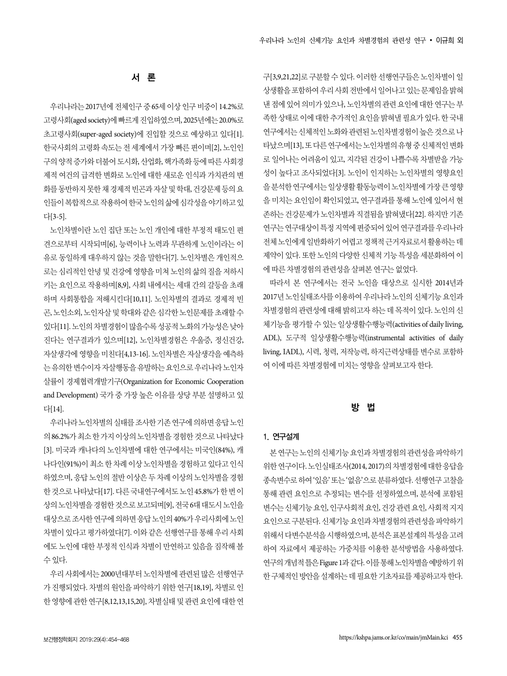# 서 론

우리나라는 2017년에 전체인구 중 65세 이상 인구 비중이 14.2%로 고령사회(aged society)에 빠르게 진입하였으며, 2025년에는 20.0%로 초고령사회(super-aged society)에 진입할 것으로 예상하고 있다[1]. 한국사회의 고령화 속도는 전 세계에서 가장 빠른 편이며[2], 노인인 구의 양적 증가와 더불어 도시화, 산업화, 핵가족화 등에 따른 사회경 제적 여건의 급격한 변화로 노인에 대한 새로운 인식과 가치관의 변 화를 동반하지 못한 채 경제적 빈곤과 자살 및 학대, 건강문제 등의 요 인들이 복합적으로 작용하여 한국 노인의 삶에 심각성을 야기하고 있 다[3-5].

노인차별이란 노인 집단 또는 노인 개인에 대한 부정적 태도인 편 견으로부터 시작되며[6], 능력이나 노력과 무관하게 노인이라는 이 유로 동일하게 대우하지 않는 것을 말한다[7]. 노인차별은 개인적으 로는 심리적인 안녕 및 건강에 영향을 미쳐 노인의 삶의 질을 저하시 키는 요인으로 작용하며[8,9], 사회 내에서는 세대 간의 갈등을 초래 하며 사회통합을 저해시킨다[10,11]. 노인차별의 결과로 경제적 빈 곤, 노인소외, 노인자살 및 학대와 같은 심각한 노인문제를 초래할 수 있다[11]. 노인의 차별경험이 많을수록 성공적 노화의 가능성은 낮아 진다는 연구결과가 있으며[12], 노인차별경험은 우울증, 정신건강, 자살생각에 영향을 미친다[4,13-16]. 노인차별은 자살생각을 예측하 는 유의한 변수이자 자살행동을 유발하는 요인으로 우리나라 노인자 살률이 경제협력개발기구(Organization for Economic Cooperation and Development) 국가 중 가장 높은 이유를 상당 부분 설명하고 있 다[14].

우리나라 노인차별의 실태를 조사한 기존 연구에 의하면 응답 노인 의 86.2%가 최소 한 가지 이상의 노인차별을 경험한 것으로 나타났다 [3]. 미국과 캐나다의 노인차별에 대한 연구에서는 미국인(84%), 캐 나다인(91%)이 최소 한 차례 이상 노인차별을 경험하고 있다고 인식 하였으며, 응답 노인의 절반 이상은 두 차례 이상의 노인차별을 경험 한 것으로 나타났다[17]. 다른 국내연구에서도 노인 45.8%가 한 번 이 상의 노인차별을 경험한 것으로 보고되며[9], 전국 6대 대도시 노인을 대상으로 조사한 연구에 의하면 응답 노인의 40%가 우리사회에 노인 차별이 있다고 평가하였다[7]. 이와 같은 선행연구를 통해 우리 사회 에도 노인에 대한 부정적 인식과 차별이 만연하고 있음을 짐작해 볼 수 있다.

우리 사회에서는 2000년대부터 노인차별에 관련된 많은 선행연구 가 진행되었다. 차별의 원인을 파악하기 위한 연구[18,19], 차별로 인 한 영향에 관한 연구[8,12,13,15,20], 차별실태 및 관련 요인에 대한 연 구[3,9,21,22]로 구분할 수 있다. 이러한 선행연구들은 노인차별이 일 상생활을 포함하여 우리 사회 전반에서 일어나고 있는 문제임을 밝혀 낸 점에 있어 의미가 있으나, 노인차별의 관련 요인에 대한 연구는 부 족한 상태로 이에 대한 추가적인 요인을 밝혀낼 필요가 있다. 한 국내 연구에서는 신체적인 노화와 관련된 노인차별경험이 높은 것으로 나 타났으며[13], 또 다른 연구에서는 노인차별의 유형 중 신체적인 변화 로 일어나는 어려움이 있고, 지각된 건강이 나쁠수록 차별받을 가능 성이 높다고 조사되었다[3]. 노인이 인지하는 노인차별의 영향요인 을 분석한 연구에서는 일상생활 활동능력이 노인차별에 가장 큰 영향 을 미치는 요인임이 확인되었고, 연구결과를 통해 노인에 있어서 현 존하는 건강문제가 노인차별과 직결됨을 밝혀냈다[22]. 하지만 기존 연구는 연구대상이 특정 지역에 편중되어 있어 연구결과를 우리나라 전체 노인에게 일반화하기 어렵고 정책적 근거자료로서 활용하는 데 제약이 있다. 또한 노인의 다양한 신체적 기능 특성을 세분화하여 이 에 따른 차별경험의 관련성을 살펴본 연구는 없었다.

따라서 본 연구에서는 전국 노인을 대상으로 실시한 2014년과 2017년 노인실태조사를 이용하여 우리나라 노인의 신체기능 요인과 차별경험의 관련성에 대해 밝히고자 하는 데 목적이 있다. 노인의 신 체기능을 평가할 수 있는 일상생활수행능력(activities of daily living, ADL), 도구적 일상생활수행능력(instrumental activities of daily living, IADL), 시력, 청력, 저작능력, 하지근력상태를 변수로 포함하 여 이에 따른 차별경험에 미치는 영향을 살펴보고자 한다.

# 방 법

#### 1. 연구설계

본 연구는 노인의 신체기능 요인과 차별경험의 관련성을 파악하기 위한 연구이다. 노인실태조사(2014, 2017)의 차별경험에 대한 응답을 종속변수로 하여 '있음' 또는 '없음'으로 분류하였다. 선행연구 고찰을 통해 관련 요인으로 추정되는 변수를 선정하였으며, 분석에 포함된 변수는 신체기능 요인, 인구사회적 요인, 건강 관련 요인, 사회적 지지 요인으로 구분된다. 신체기능 요인과 차별경험의 관련성을 파악하기 위해서 다변수분석을 시행하였으며, 분석은 표본설계의 특성을 고려 하여 자료에서 제공하는 가중치를 이용한 분석방법을 사용하였다. 연구의 개념적 틀은 Figure 1과 같다. 이를 통해 노인차별을 예방하기 위 한 구체적인 방안을 설계하는 데 필요한 기초자료를 제공하고자 한다.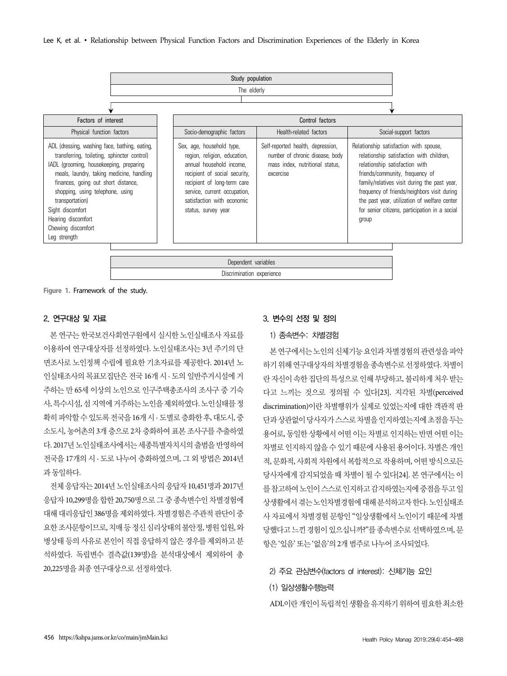

**Figure 1.** Framework of the study.

#### 2. 연구대상 및 자료

본 연구는 한국보건사회연구원에서 실시한 노인실태조사 자료를 이용하여 연구대상자를 선정하였다. 노인실태조사는 3년 주기의 단 면조사로 노인정책 수립에 필요한 기초자료를 제공한다. 2014년 노 인실태조사의 목표모집단은 전국 16개 시 · 도의 일반주거시설에 거 주하는 만 65세 이상의 노인으로 인구주택총조사의 조사구 중 기숙 사, 특수시설, 섬 지역에 거주하는 노인을 제외하였다. 노인실태를 정 확히 파악할 수 있도록 전국을 16개 시 · 도별로 층화한 후, 대도시, 중 소도시, 농어촌의 3개 층으로 2차 층화하여 표본 조사구를 추출하였 다. 2017년 노인실태조사에서는 세종특별자치시의 출범을 반영하여 전국을 17개의 시 · 도로 나누어 층화하였으며, 그 외 방법은 2014년 과 동일하다.

전체 응답자는 2014년 노인실태조사의 응답자 10,451명과 2017년 응답자 10,299명을 합한 20,750명으로 그 중 종속변수인 차별경험에 대해 대리응답인 386명을 제외하였다. 차별경험은 주관적 판단이 중 요한 조사문항이므로, 치매 등 정신 심리상태의 불안정, 병원 입원, 와 병상태 등의 사유로 본인이 직접 응답하지 않은 경우를 제외하고 분 석하였다. 독립변수 결측값(139명)을 분석대상에서 제외하여 총 20,225명을 최종 연구대상으로 선정하였다.

#### 3. 변수의 선정 및 정의

#### 1) 종속변수: 차별경험

본 연구에서는 노인의 신체기능 요인과 차별경험의 관련성을 파악 하기 위해 연구대상자의 차별경험을 종속변수로 선정하였다. 차별이 란 자신이 속한 집단의 특성으로 인해 부당하고, 불리하게 처우 받는 다고 느끼는 것으로 정의될 수 있다[23]. 지각된 차별(perceived discrimination)이란 차별행위가 실제로 있었는지에 대한 객관적 판 단과 상관없이 당사자가 스스로 차별을 인지하였는지에 초점을 두는 용어로, 동일한 상황에서 어떤 이는 차별로 인지하는 반면 어떤 이는 차별로 인지하지 않을 수 있기 때문에 사용된 용어이다. 차별은 개인 적, 문화적, 사회적 차원에서 복합적으로 작용하며, 어떤 방식으로든 당사자에게 감지되었을 때 차별이 될 수 있다[24]. 본 연구에서는 이 를 참고하여 노인이 스스로 인지하고 감지하였는지에 중점을 두고 일 상생활에서 겪는 노인차별경험에 대해 분석하고자 한다. 노인실태조 사 자료에서 차별경험 문항인 "일상생활에서 노인이기 때문에 차별 당했다고 느낀 경험이 있으십니까?"를 종속변수로 선택하였으며, 문 항은 '있음' 또는 '없음'의 2개 범주로 나누어 조사되었다.

#### 2) 주요 관심변수(factors of interest): 신체기능 요인

#### (1) 일상생활수행능력

ADL이란 개인이 독립적인 생활을 유지하기 위하여 필요한 최소한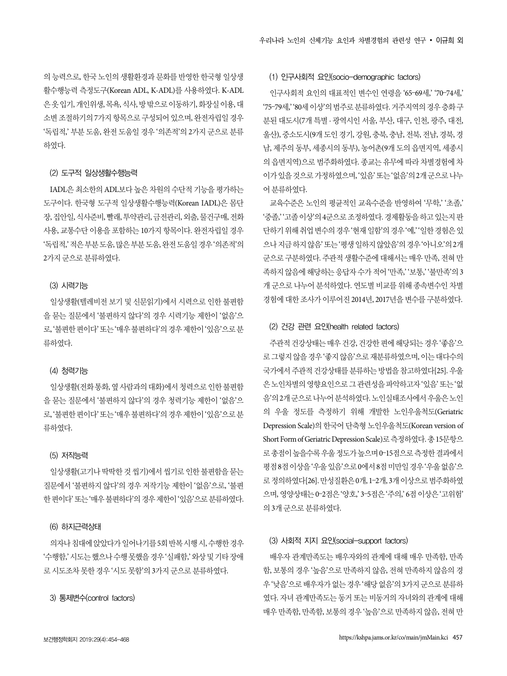의 능력으로, 한국 노인의 생활환경과 문화를 반영한 한국형 일상생 활수행능력 측정도구(Korean ADL, K-ADL)를 사용하였다. K-ADL 은 옷 입기, 개인위생, 목욕, 식사, 방 밖으로 이동하기, 화장실 이용, 대 소변 조절하기의 7가지 항목으로 구성되어 있으며, 완전자립일 경우 '독립적,' 부분 도움, 완전 도움일 경우 '의존적'의 2가지 군으로 분류 하였다.

#### (2) 도구적 일상생활수행능력

IADL은 최소한의 ADL보다 높은 차원의 수단적 기능을 평가하는 도구이다. 한국형 도구적 일상생활수행능력(Korean IADL)은 몸단 장, 집안일, 식사준비, 빨래, 투약관리, 금전관리, 외출, 물건구매, 전화 사용, 교통수단 이용을 포함하는 10가지 항목이다. 완전자립일 경우 '독립적,' 적은 부분 도움, 많은 부분 도움, 완전 도움일 경우 '의존적'의 2가지 군으로 분류하였다.

#### (3) 시력기능

일상생활(텔레비전 보기 및 신문읽기)에서 시력으로 인한 불편함 을 묻는 질문에서 '불편하지 않다'의 경우 시력기능 제한이 '없음'으 로, '불편한 편이다' 또는 '매우 불편하다'의 경우 제한이 '있음'으로 분 류하였다.

#### (4) 청력기능

일상생활(전화 통화, 옆 사람과의 대화)에서 청력으로 인한 불편함 을 묻는 질문에서 '불편하지 않다'의 경우 청력기능 제한이 '없음'으 로, '불편한 편이다' 또는 '매우 불편하다'의 경우 제한이 '있음'으로 분 류하였다.

#### (5) 저작능력

일상생활(고기나 딱딱한 것 씹기)에서 씹기로 인한 불편함을 묻는 질문에서 '불편하지 않다'의 경우 저작기능 제한이 '없음'으로, '불편 한 편이다' 또는 '매우 불편하다'의 경우 제한이 '있음'으로 분류하였다.

#### (6) 하지근력상태

의자나 침대에 앉았다가 일어나기를 5회 반복 시행 시, 수행한 경우 '수행함,' 시도는 했으나 수행 못했을 경우 '실패함,' 와상 및 기타 장애 로 시도조차 못한 경우 '시도 못함'의 3가지 군으로 분류하였다.

#### 3) 통제변수(control factors)

# (1) 인구사회적 요인(socio-demographic factors)

인구사회적 요인의 대표적인 변수인 연령을 '65–69세,' '70–74세,' '75–79세,' '80세 이상'의 범주로 분류하였다. 거주지역의 경우 층화 구 분된 대도시(7개 특별 · 광역시인 서울, 부산, 대구, 인천, 광주, 대전, 울산), 중소도시(9개 도인 경기, 강원, 충북, 충남, 전북, 전남, 경북, 경 남, 제주의 동부, 세종시의 동부), 농어촌(9개 도의 읍면지역, 세종시 의 읍면지역)으로 범주화하였다. 종교는 유무에 따라 차별경험에 차 이가 있을 것으로 가정하였으며, '있음' 또는 '없음'의 2개 군으로 나누 어 분류하였다.

교육수준은 노인의 평균적인 교육수준을 반영하여 '무학,' '초졸,' '중졸,' '고졸 이상'의 4군으로 조정하였다. 경제활동을 하고 있는지 판 단하기 위해 취업 변수의 경우 '현재 일함'의 경우 '예,' '일한 경험은 있 으나 지금 하지 않음' 또는 '평생 일하지 않았음'의 경우 '아니오'의 2개 군으로 구분하였다. 주관적 생활수준에 대해서는 매우 만족, 전혀 만 족하지 않음에 해당하는 응답자 수가 적어 '만족,' '보통,' '불만족'의 3 개 군으로 나누어 분석하였다. 연도별 비교를 위해 종속변수인 차별 경험에 대한 조사가 이루어진 2014년, 2017년을 변수를 구분하였다.

#### (2) 건강 관련 요인(health related factors)

주관적 건강상태는 매우 건강, 건강한 편에 해당되는 경우 '좋음'으 로 그렇지 않을 경우 '좋지 않음'으로 재분류하였으며, 이는 대다수의 국가에서 주관적 건강상태를 분류하는 방법을 참고하였다[25]. 우울 은 노인차별의 영향요인으로 그 관련성을 파악하고자 '있음' 또는 '없 음'의 2개 군으로 나누어 분석하였다. 노인실태조사에서 우울은 노인 의 우울 정도를 측정하기 위해 개발한 노인우울척도(Geriatric Depression Scale)의 한국어 단축형 노인우울척도(Korean version of Short Form of Geriatric Depression Scale)로 측정하였다. 총 15문항으 로 총점이 높을수록 우울 정도가 높으며 0–15점으로 측정한 결과에서 평점 8점 이상을 '우울 있음'으로 0에서 8점 미만일 경우 '우울 없음'으 로 정의하였다[26]. 만성질환은 0개, 1–2개, 3개 이상으로 범주화하였 으며, 영양상태는 0–2점은 '양호,' 3–5점은 '주의,' 6점 이상은 '고위험' 의 3개 군으로 분류하였다.

#### (3) 사회적 지지 요인(social-support factors)

배우자 관계만족도는 배우자와의 관계에 대해 매우 만족함, 만족 함, 보통의 경우 '높음'으로 만족하지 않음, 전혀 만족하지 않음의 경 우 '낮음'으로 배우자가 없는 경우 '해당 없음'의 3가지 군으로 분류하 였다. 자녀 관계만족도는 동거 또는 비동거의 자녀와의 관계에 대해 매우 만족함, 만족함, 보통의 경우 '높음'으로 만족하지 않음, 전혀 만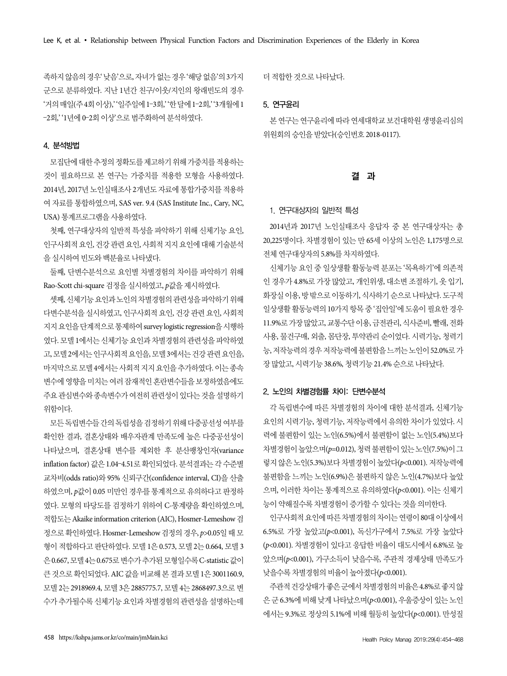족하지 않음의 경우' 낮음'으로, 자녀가 없는 경우 '해당 없음'의 3가지 군으로 분류하였다. 지난 1년간 친구/이웃/지인의 왕래빈도의 경우 '거의 매일(주 4회 이상),' '일주일에 1–3회,' '한 달에 1–2회,' '3개월에 1 –2회,' '1년에 0–2회 이상'으로 범주화하여 분석하였다.

#### 4. 분석방법

모집단에 대한 추정의 정확도를 제고하기 위해 가중치를 적용하는 것이 필요하므로 본 연구는 가중치를 적용한 모형을 사용하였다. 2014년, 2017년 노인실태조사 2개년도 자료에 통합가중치를 적용하 여 자료를 통합하였으며, SAS ver. 9.4 (SAS Institute Inc., Cary, NC, USA) 통계프로그램을 사용하였다.

첫째, 연구대상자의 일반적 특성을 파악하기 위해 신체기능 요인, 인구사회적 요인, 건강 관련 요인, 사회적 지지 요인에 대해 기술분석 을 실시하여 빈도와 백분율로 나타냈다.

둘째, 단변수분석으로 요인별 차별경험의 차이를 파악하기 위해 Rao-Scott chi-square 검정을 실시하였고, p값을 제시하였다.

셋째, 신체기능 요인과 노인의 차별경험의 관련성을 파악하기 위해 다변수분석을 실시하였고, 인구사회적 요인, 건강 관련 요인, 사회적 지지 요인을 단계적으로 통제하여 survey logistic regression을 시행하 였다. 모델 1에서는 신체기능 요인과 차별경험의 관련성을 파악하였 고, 모델 2에서는 인구사회적 요인을, 모델 3에서는 건강 관련 요인을, 마지막으로 모델 4에서는 사회적 지지 요인을 추가하였다. 이는 종속 변수에 영향을 미치는 여러 잠재적인 혼란변수들을 보정하였음에도 주요 관심변수와 종속변수가 여전히 관련성이 있다는 것을 설명하기 위함이다.

모든 독립변수들 간의 독립성을 검정하기 위해 다중공선성 여부를 확인한 결과, 결혼상태와 배우자관계 만족도에 높은 다중공선성이 나타났으며, 결혼상태 변수를 제외한 후 분산팽창인자(variance inflation factor) 값은 1.04–4.51로 확인되었다. 분석결과는 각 수준별 교차비(odds ratio)와 95% 신뢰구간(confidence interval, CI)을 산출 하였으며, p값이 0.05 미만인 경우를 통계적으로 유의하다고 판정하 였다. 모형의 타당도를 검정하기 위하여 C-통계량을 확인하였으며, 적합도는 Akaike information criterion (AIC), Hosmer-Lemeshow 검 정으로 확인하였다. Hosmer-Lemeshow 검정의 경우, p>0.05일 때 모 형이 적합하다고 판단하였다. 모델 1은 0.573, 모델 2는 0.664, 모델 3 은 0.667, 모델 4는 0.675로 변수가 추가된 모형일수록 C-statistic 값이 큰 것으로 확인되었다. AIC 값을 비교해 본 결과 모델 1은 3001160.9, 모델 2는 2918969.4, 모델 3은 2885775.7, 모델 4는 2868497.3으로 변 수가 추가될수록 신체기능 요인과 차별경험의 관련성을 설명하는데

더 적합한 것으로 나타났다.

## 5. 연구윤리

본 연구는 연구윤리에 따라 연세대학교 보건대학원 생명윤리심의 위원회의 승인을 받았다(승인번호 2018-0117).

#### 결 과

## 1. 연구대상자의 일반적 특성

2014년과 2017년 노인실태조사 응답자 중 본 연구대상자는 총 20,225명이다. 차별경험이 있는 만 65세 이상의 노인은 1,175명으로 전체 연구대상자의 5.8%를 차지하였다.

신체기능 요인 중 일상생활 활동능력 분포는 '목욕하기'에 의존적 인 경우가 4.8%로 가장 많았고, 개인위생, 대소변 조절하기, 옷 입기, 화장실 이용, 방 밖으로 이동하기, 식사하기 순으로 나타났다. 도구적 일상생활 활동능력의 10가지 항목 중 '집안일'에 도움이 필요한 경우 11.9%로 가장 많았고, 교통수단 이용, 금전관리, 식사준비, 빨래, 전화 사용, 물건구매, 외출, 몸단장, 투약관리 순이었다. 시력기능, 청력기 능, 저작능력의 경우 저작능력에 불편함을 느끼는 노인이 52.0%로 가 장 많았고, 시력기능 38.6%, 청력기능 21.4% 순으로 나타났다.

#### 2. 노인의 차별경험률 차이: 단변수분석

각 독립변수에 따른 차별경험의 차이에 대한 분석결과, 신체기능 요인의 시력기능, 청력기능, 저작능력에서 유의한 차이가 있었다. 시 력에 불편함이 있는 노인(6.5%)에서 불편함이 없는 노인(5.4%)보다 차별경험이 높았으며(p=0.012), 청력 불편함이 있는 노인(7.5%)이 그 렇지 않은 노인(5.3%)보다 차별경험이 높았다(p<0.001). 저작능력에 불편함을 느끼는 노인(6.9%)은 불편하지 않은 노인(4.7%)보다 높았 으며, 이러한 차이는 통계적으로 유의하였다(p<0.001). 이는 신체기 능이 약해질수록 차별경험이 증가할 수 있다는 것을 의미한다.

인구사회적 요인에 따른 차별경험의 차이는 연령이 80대 이상에서 6.5%로 가장 높았고(p<0.001), 독신가구에서 7.5%로 가장 높았다 (p<0.001). 차별경험이 있다고 응답한 비율이 대도시에서 6.8%로 높 았으며(p<0.001), 가구소득이 낮을수록, 주관적 경제상태 만족도가 낮을수록 차별경험의 비율이 높아졌다(p<0.001).

주관적 건강상태가 좋은 군에서 차별경험의 비율은 4.8%로 좋지 않 은 군 6.3%에 비해 낮게 나타났으며(p<0.001), 우울증상이 있는 노인 에서는 9.3%로 정상의 5.1%에 비해 월등히 높았다(p<0.001). 만성질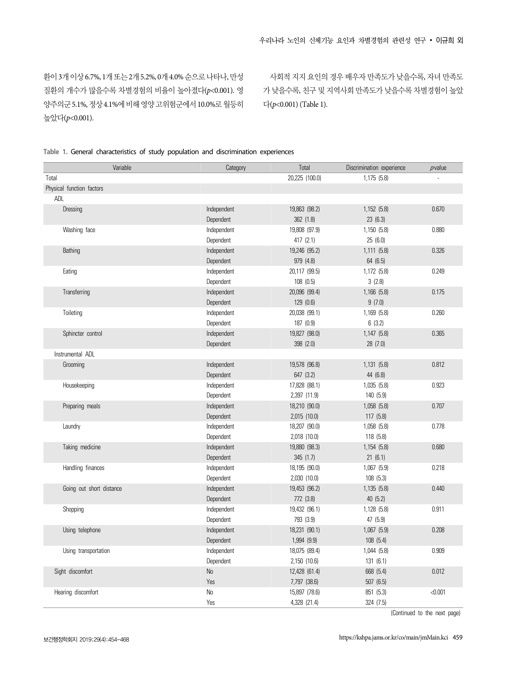환이 3개이상 6.7%, 1개 또는 2개 5.2%, 0개 4.0% 순으로 나타나, 만성 질환의 개수가 많을수록 차별경험의 비율이 높아졌다(p<0.001). 영 양주의군 5.1%, 정상 4.1%에 비해 영양 고위험군에서 10.0%로 월등히 높았다(p<0.001).

사회적 지지 요인의 경우 배우자 만족도가 낮을수록, 자녀 만족도 가 낮을수록, 친구 및 지역사회 만족도가 낮을수록 차별경험이 높았 다(p<0.001) (Table 1).

|  |  | Table 1. General characteristics of study population and discrimination experiences |  |  |  |  |  |  |
|--|--|-------------------------------------------------------------------------------------|--|--|--|--|--|--|
|--|--|-------------------------------------------------------------------------------------|--|--|--|--|--|--|

|                  | Variable                  | Category    | Total          | Discrimination experience | $\rho$ value |
|------------------|---------------------------|-------------|----------------|---------------------------|--------------|
| Total            |                           |             | 20,225 (100.0) | 1,175 (5.8)               |              |
|                  | Physical function factors |             |                |                           |              |
| ADL              |                           |             |                |                           |              |
| Dressing         |                           | Independent | 19,863 (98.2)  | 1,152 (5.8)               | 0.670        |
|                  |                           | Dependent   | 362 (1.8)      | 23(6.3)                   |              |
|                  | Washing face              | Independent | 19,808 (97.9)  | 1,150 (5.8)               | 0.880        |
|                  |                           | Dependent   | 417 (2.1)      | 25(6.0)                   |              |
| Bathing          |                           | Independent | 19,246 (95.2)  | 1,111 (5.8)               | 0.326        |
|                  |                           | Dependent   | 979 (4.8)      | 64 (6.5)                  |              |
| Eating           |                           | Independent | 20,117 (99.5)  | 1,172 (5.8)               | 0.249        |
|                  |                           | Dependent   | 108(0.5)       | 3(2.8)                    |              |
|                  | Transferring              | Independent | 20,096 (99.4)  | 1,166 (5.8)               | 0.175        |
|                  |                           | Dependent   | 129 (0.6)      | 9(7.0)                    |              |
| Toileting        |                           | Independent | 20,038 (99.1)  | 1,169 (5.8)               | 0.260        |
|                  |                           | Dependent   | 187 (0.9)      | 6(3.2)                    |              |
|                  | Sphincter control         | Independent | 19,827 (98.0)  | 1,147 (5.8)               | 0.365        |
|                  |                           | Dependent   | 398 (2.0)      | 28 (7.0)                  |              |
|                  | Instrumental ADL          |             |                |                           |              |
|                  | Grooming                  | Independent | 19,578 (96.8)  | 1,131 (5.8)               | 0.812        |
|                  |                           | Dependent   | 647 (3.2)      | 44 (6.8)                  |              |
|                  | Housekeeping              | Independent | 17,828 (88.1)  | 1,035(5.8)                | 0.923        |
|                  |                           | Dependent   | 2,397 (11.9)   | 140 (5.9)                 |              |
|                  | Preparing meals           | Independent | 18,210 (90.0)  | 1,058 (5.8)               | 0.707        |
|                  |                           | Dependent   | 2,015 (10.0)   | 117(5.8)                  |              |
| Laundry          |                           | Independent | 18,207 (90.0)  | 1,058 (5.8)               | 0.778        |
|                  |                           | Dependent   | 2,018 (10.0)   | 118 (5.8)                 |              |
|                  | Taking medicine           | Independent | 19,880 (98.3)  | 1,154 (5.8)               | 0.680        |
|                  |                           | Dependent   | 345 (1.7)      | 21(6.1)                   |              |
|                  | Handling finances         | Independent | 18,195 (90.0)  | 1,067(5.9)                | 0.218        |
|                  |                           | Dependent   | 2,030 (10.0)   | 108 (5.3)                 |              |
|                  | Going out short distance  | Independent | 19,453 (96.2)  | 1,135 (5.8)               | 0.440        |
|                  |                           | Dependent   | 772 (3.8)      | 40 (5.2)                  |              |
| Shopping         |                           | Independent | 19,432 (96.1)  | 1,128 (5.8)               | 0.911        |
|                  |                           | Dependent   | 793 (3.9)      | 47 (5.9)                  |              |
|                  | Using telephone           | Independent | 18,231 (90.1)  | 1,067 (5.9)               | 0.208        |
|                  |                           | Dependent   | 1,994 (9.9)    | 108 (5.4)                 |              |
|                  | Using transportation      | Independent | 18,075 (89.4)  | 1,044 (5.8)               | 0.909        |
|                  |                           | Dependent   | 2,150 (10.6)   | 131 (6.1)                 |              |
| Sight discomfort |                           | No          | 12,428 (61.4)  | 668 (5.4)                 | 0.012        |
|                  |                           | Yes         | 7,797 (38.6)   | 507 (6.5)                 |              |
|                  | Hearing discomfort        | $\rm No$    | 15,897 (78.6)  | 851 (5.3)                 | < 0.001      |
|                  |                           | Yes         | 4,328 (21.4)   | 324 (7.5)                 |              |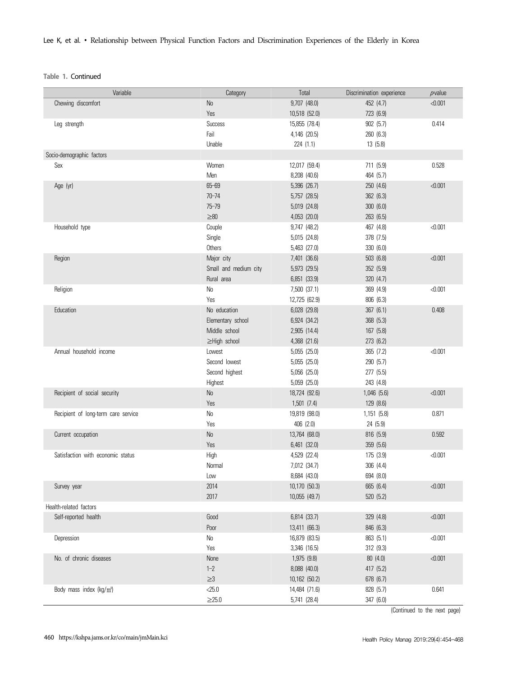Lee K, et al. ∙ Relationship between Physical Function Factors and Discrimination Experiences of the Elderly in Korea

**Table 1.** Continued

| Variable                            | Category              | Total                         | Discrimination experience | $\rho$ value |
|-------------------------------------|-----------------------|-------------------------------|---------------------------|--------------|
| Chewing discomfort                  | No                    | 9,707 (48.0)                  | 452 (4.7)                 | < 0.001      |
|                                     | Yes                   | 10,518 (52.0)                 | 723 (6.9)                 |              |
| Leg strength                        | <b>Success</b>        | 15,855 (78.4)                 | 902(5.7)                  | 0.414        |
|                                     | Fail                  | 4,146 (20.5)                  | 260 (6.3)                 |              |
|                                     | Unable                | 224(1.1)                      | 13(5.8)                   |              |
| Socio-demographic factors           |                       |                               |                           |              |
| Sex                                 | Women                 | 12,017 (59.4)                 | 711 (5.9)                 | 0.528        |
|                                     | Men                   | 8,208 (40.6)                  | 464 (5.7)                 |              |
| Age (yr)                            | $65 - 69$             | 5,396 (26.7)                  | 250 (4.6)                 | < 0.001      |
|                                     | $70 - 74$             | 5,757 (28.5)                  | 362 (6.3)                 |              |
|                                     | $75 - 79$             | 5,019 (24.8)                  | 300(6.0)                  |              |
|                                     | $\geq 80$             | 4,053 (20.0)                  | 263 (6.5)                 |              |
| Household type                      | Couple                | 9,747 (48.2)                  | 467 (4.8)                 | < 0.001      |
|                                     | Single                | 5,015 (24.8)                  | 378 (7.5)                 |              |
|                                     | Others                | 5,463 (27.0)                  | 330 (6.0)                 |              |
| Region                              | Major city            | 7,401 (36.6)                  | 503 (6.8)                 | < 0.001      |
|                                     | Small and medium city | 5,973 (29.5)                  | 352 (5.9)                 |              |
|                                     | Rural area            | 6,851 (33.9)                  | 320 (4.7)                 |              |
| Religion                            | No                    | 7,500 (37.1)                  | 369 (4.9)                 | < 0.001      |
|                                     | Yes                   | 12,725 (62.9)                 | 806 (6.3)                 |              |
| Education                           | No education          | 6,028 (29.8)                  | 367 (6.1)                 | 0.408        |
|                                     | Elementary school     | 6,924 (34.2)                  | 368 (5.3)                 |              |
|                                     | Middle school         | 2,905 (14.4)                  | 167 (5.8)                 |              |
|                                     | ≥High school          | 4,368 (21.6)                  | 273 (6.2)                 |              |
| Annual household income             | Lowest                | 5,055 (25.0)                  | 365 (7.2)                 | < 0.001      |
|                                     | Second lowest         | 5,055 (25.0)                  | 290 (5.7)                 |              |
|                                     | Second highest        | 5,056 (25.0)                  | 277 (5.5)                 |              |
|                                     | Highest               | 5,059 (25.0)                  | 243 (4.8)                 |              |
| Recipient of social security        | $\mathsf{No}$         | 18,724 (92.6)                 | 1,046 (5.6)               | < 0.001      |
|                                     | Yes                   | 1,501 (7.4)                   | 129 (8.6)                 |              |
| Recipient of long-term care service | No                    | 19,819 (98.0)                 | 1,151 (5.8)               | 0.871        |
|                                     | Yes                   | 406 (2.0)                     | 24 (5.9)                  |              |
| Current occupation                  | No                    | 13,764 (68.0)                 | 816 (5.9)                 | 0.592        |
|                                     | Yes                   | 6,461 (32.0)                  | 359 (5.6)                 |              |
| Satisfaction with economic status   | High                  | 4,529 (22.4)                  | 175 (3.9)                 | < 0.001      |
|                                     | Normal                | 7,012 (34.7)                  | 306 (4.4)                 |              |
|                                     | Low                   | 8,684 (43.0)                  | 694 (8.0)                 |              |
| Survey year                         | 2014                  | 10,170 (50.3)                 | 665 (6.4)                 | < 0.001      |
|                                     | 2017                  | 10,055 (49.7)                 | 520 (5.2)                 |              |
| Health-related factors              |                       |                               |                           |              |
| Self-reported health                | Good                  | 6,814 (33.7)                  | 329 (4.8)                 | < 0.001      |
|                                     | Poor                  | 13,411 (66.3)                 | 846 (6.3)                 |              |
|                                     |                       |                               |                           |              |
| Depression                          | $\rm No$<br>Yes       | 16,879 (83.5)<br>3,346 (16.5) | 863 (5.1)<br>312 (9.3)    | < 0.001      |
|                                     |                       |                               |                           |              |
| No. of chronic diseases             | None                  | 1,975 (9.8)                   | 80(4.0)                   | < 0.001      |
|                                     | $1 - 2$               | 8,088 (40.0)                  | 417 (5.2)                 |              |
|                                     | ${\geq}3$             | 10,162 (50.2)                 | 678 (6.7)                 |              |
| Body mass index $(kg/m2)$           | 25.0                  | 14,484 (71.6)                 | 828 (5.7)                 | 0.641        |
|                                     | $\geq$ 25.0           | 5,741 (28.4)                  | 347 (6.0)                 |              |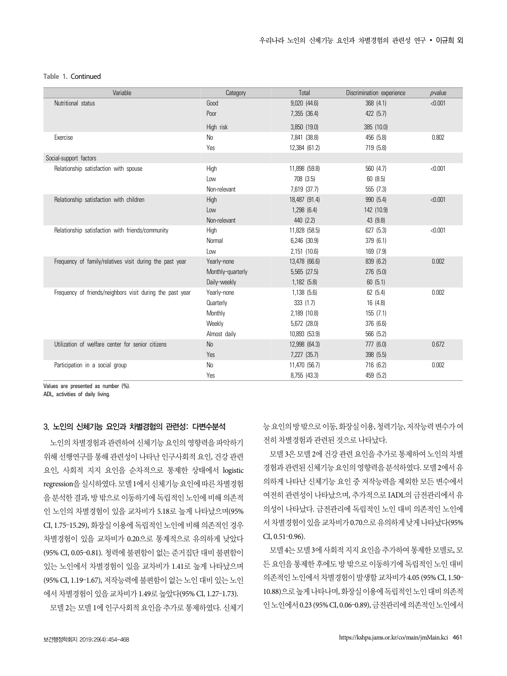#### **Table 1.** Continued

| Variable                                                  | Category          | Total            | Discrimination experience | $p$ -value |
|-----------------------------------------------------------|-------------------|------------------|---------------------------|------------|
| Nutritional status                                        | Good              | $9,020$ $(44.6)$ | 368 (4.1)                 | < 0.001    |
|                                                           | Poor              | 7,355 (36.4)     | 422 (5.7)                 |            |
|                                                           | High risk         | 3,850 (19.0)     | 385 (10.0)                |            |
| Exercise                                                  | N <sub>0</sub>    | 7,841 (38.8)     | 456 (5.8)                 | 0.802      |
|                                                           | Yes               | 12,384 (61.2)    | 719 (5.8)                 |            |
| Social-support factors                                    |                   |                  |                           |            |
| Relationship satisfaction with spouse                     | High              | 11,898 (59.8)    | 560 (4.7)                 | < 0.001    |
|                                                           | Low               | 708 (3.5)        | 60 (8.5)                  |            |
|                                                           | Non-relevant      | 7,619 (37.7)     | 555 (7.3)                 |            |
| Relationship satisfaction with children                   | High              | 18,487 (91.4)    | 990 (5.4)                 | < 0.001    |
|                                                           | Low               | $1,298$ (6.4)    | 142 (10.9)                |            |
|                                                           | Non-relevant      | 440 (2.2)        | 43 (9.8)                  |            |
| Relationship satisfaction with friends/community          | High              | 11,828 (58.5)    | 627 (5.3)                 | < 0.001    |
|                                                           | Normal            | 6,246 (30.9)     | 379 (6.1)                 |            |
|                                                           | Low               | 2,151 (10.6)     | 169 (7.9)                 |            |
| Frequency of family/relatives visit during the past year  | Yearly-none       | 13,478 (66.6)    | 839 (6.2)                 | 0.002      |
|                                                           | Monthly-quarterly | $5,565$ $(27.5)$ | 276 (5.0)                 |            |
|                                                           | Daily-weekly      | 1,182 (5.8)      | 60(5.1)                   |            |
| Frequency of friends/neighbors visit during the past year | Yearly-none       | 1,138(5.6)       | 62 (5.4)                  | 0.002      |
|                                                           | Quarterly         | 333(1.7)         | 16 (4.8)                  |            |
|                                                           | Monthly           | 2,189 (10.8)     | 155(7.1)                  |            |
|                                                           | Weekly            | 5,672 (28.0)     | 376 (6.6)                 |            |
|                                                           | Almost daily      | 10,893 (53.9)    | 566 (5.2)                 |            |
| Utilization of welfare center for senior citizens         | <b>No</b>         | 12,998 (64.3)    | 777 (6.0)                 | 0.672      |
|                                                           | Yes               | 7,227 (35.7)     | 398 (5.5)                 |            |
| Participation in a social group                           | N <sub>0</sub>    | 11,470 (56.7)    | 716 (6.2)                 | 0.002      |
|                                                           | Yes               | 8,755 (43.3)     | 459 (5.2)                 |            |

Values are presented as number (%).

ADL, activities of daily living.

#### 3. 노인의 신체기능 요인과 차별경험의 관련성: 다변수분석

노인의 차별경험과 관련하여 신체기능 요인의 영향력을 파악하기 위해 선행연구를 통해 관련성이 나타난 인구사회적 요인, 건강 관련 요인, 사회적 지지 요인을 순차적으로 통제한 상태에서 logistic regression을 실시하였다. 모델 1에서 신체기능 요인에 따른 차별경험 을 분석한 결과, 방 밖으로 이동하기에 독립적인 노인에 비해 의존적 인 노인의 차별경험이 있을 교차비가 5.18로 높게 나타났으며(95% CI, 1.75–15.29), 화장실 이용에 독립적인 노인에 비해 의존적인 경우 차별경험이 있을 교차비가 0.20으로 통계적으로 유의하게 낮았다 (95% CI, 0.05–0.81). 청력에 불편함이 없는 준거집단 대비 불편함이 있는 노인에서 차별경험이 있을 교차비가 1.41로 높게 나타났으며 (95% CI, 1.19–1.67), 저작능력에 불편함이 없는 노인 대비 있는 노인 에서 차별경험이 있을 교차비가 1.49로 높았다(95% CI, 1.27–1.73).

모델 2는 모델 1에 인구사회적 요인을 추가로 통제하였다. 신체기

능 요인의 방 밖으로 이동, 화장실 이용, 청력기능, 저작능력 변수가 여 전히 차별경험과 관련된 것으로 나타났다.

모델 3은 모델 2에 건강 관련 요인을 추가로 통제하여 노인의 차별 경험과 관련된 신체기능 요인의 영향력을 분석하였다. 모델 2에서 유 의하게 나타난 신체기능 요인 중 저작능력을 제외한 모든 변수에서 여전히 관련성이 나타났으며, 추가적으로 IADL의 금전관리에서 유 의성이 나타났다. 금전관리에 독립적인 노인 대비 의존적인 노인에 서 차별경험이 있을 교차비가 0.70으로 유의하게 낮게 나타났다(95% CI, 0.51–0.96).

모델 4는 모델 3에 사회적 지지 요인을 추가하여 통제한 모델로, 모 든 요인을 통제한 후에도 방 밖으로 이동하기에 독립적인 노인 대비 의존적인 노인에서 차별경험이 발생할 교차비가 4.05 (95% CI, 1.50– 10.88)으로 높게 나타나며, 화장실 이용에 독립적인 노인 대비 의존적 인 노인에서 0.23 (95% CI, 0.06–0.89), 금전관리에 의존적인 노인에서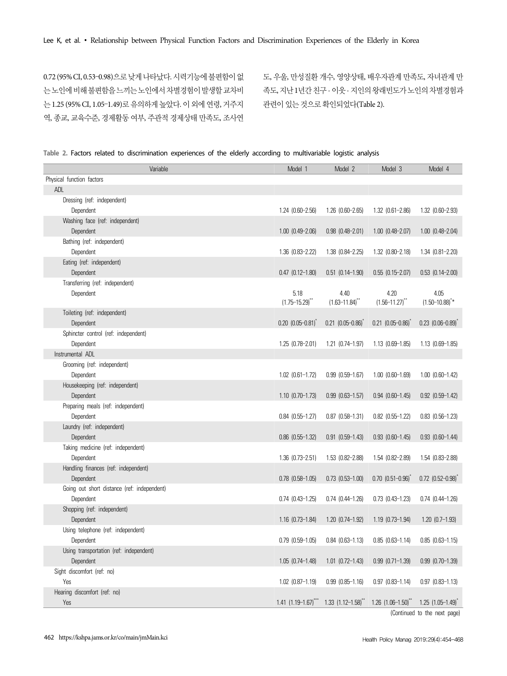0.72 (95% CI, 0.53–0.98)으로 낮게 나타났다. 시력기능에 불편함이 없 는 노인에 비해 불편함을 느끼는 노인에서 차별경험이 발생할 교차비 는 1.25 (95% CI, 1.05–1.49)로 유의하게 높았다. 이 외에 연령, 거주지 역, 종교, 교육수준, 경제활동 여부, 주관적 경제상태 만족도, 조사연

도, 우울, 만성질환 개수, 영양상태, 배우자관계 만족도, 자녀관계 만 족도, 지난 1년간 친구 · 이웃 · 지인의 왕래빈도가 노인의 차별경험과 관련이 있는 것으로 확인되었다(Table 2).

| Table 2. Factors related to discrimination experiences of the elderly according to multivariable logistic analysis |  |  |  |  |  |  |
|--------------------------------------------------------------------------------------------------------------------|--|--|--|--|--|--|
|--------------------------------------------------------------------------------------------------------------------|--|--|--|--|--|--|

| Variable                                    | Model 1                                                                | Model 2                    | Model 3                   | Model 4                  |
|---------------------------------------------|------------------------------------------------------------------------|----------------------------|---------------------------|--------------------------|
| Physical function factors                   |                                                                        |                            |                           |                          |
| ADL                                         |                                                                        |                            |                           |                          |
| Dressing (ref: independent)                 |                                                                        |                            |                           |                          |
| Dependent                                   | $1.24$ $(0.60 - 2.56)$                                                 | $1.26$ $(0.60 - 2.65)$     | $1.32$ $(0.61 - 2.86)$    | 1.32 (0.60-2.93)         |
| Washing face (ref: independent)             |                                                                        |                            |                           |                          |
| Dependent                                   | $1.00$ $(0.49 - 2.06)$                                                 | $0.98$ $(0.48 - 2.01)$     | $1.00$ $(0.48 - 2.07)$    | $1.00$ $(0.48 - 2.04)$   |
| Bathing (ref: independent)                  |                                                                        |                            |                           |                          |
| Dependent                                   | 1.36 (0.83-2.22)                                                       | 1.38 (0.84-2.25)           | 1.32 (0.80-2.18)          | $1.34$ $(0.81 - 2.20)$   |
| Eating (ref: independent)                   |                                                                        |                            |                           |                          |
| Dependent                                   | $0.47$ $(0.12 - 1.80)$                                                 | $0.51$ $(0.14-1.90)$       | $0.55$ $(0.15-2.07)$      | $0.53$ $(0.14 - 2.00)$   |
| Transferring (ref: independent)             |                                                                        |                            |                           |                          |
| Dependent                                   | 5.18                                                                   | 4.40                       | 4.20                      | 4.05                     |
|                                             | $(1.75 - 15.29)$ **                                                    | $(1.63 - 11.84)^{**}$      | $(1.56 - 11.27)^{**}$     | $(1.50 - 10.88)^{**}$    |
| Toileting (ref: independent)                |                                                                        |                            |                           |                          |
| Dependent                                   | $0.20$ $(0.05 - 0.81)^T$                                               | $0.21$ $(0.05 - 0.86)^{*}$ | $0.21$ $(0.05 - 0.86)^T$  | $0.23$ $(0.06 - 0.89)^T$ |
| Sphincter control (ref: independent)        |                                                                        |                            |                           |                          |
| Dependent                                   | $1.25$ $(0.78 - 2.01)$                                                 | $1.21$ $(0.74-1.97)$       | $1.13$ $(0.69-1.85)$      | $1.13$ $(0.69 - 1.85)$   |
| Instrumental ADL                            |                                                                        |                            |                           |                          |
| Grooming (ref: independent)                 |                                                                        |                            |                           |                          |
| Dependent                                   | $1.02$ $(0.61-1.72)$                                                   | $0.99$ $(0.59 - 1.67)$     | $1.00$ $(0.60 - 1.69)$    | $1.00$ $(0.60-1.42)$     |
| Housekeeping (ref: independent)             |                                                                        |                            |                           |                          |
| Dependent                                   | $1.10$ $(0.70-1.73)$                                                   | $0.99$ $(0.63-1.57)$       | $0.94$ $(0.60-1.45)$      | $0.92$ $(0.59-1.42)$     |
| Preparing meals (ref: independent)          |                                                                        |                            |                           |                          |
| Dependent                                   | $0.84$ $(0.55-1.27)$                                                   | $0.87$ $(0.58-1.31)$       | $0.82$ $(0.55-1.22)$      | $0.83$ $(0.56-1.23)$     |
| Laundry (ref: independent)                  |                                                                        |                            |                           |                          |
| Dependent                                   | $0.86$ $(0.55-1.32)$                                                   | $0.91$ $(0.59-1.43)$       | $0.93$ $(0.60-1.45)$      | $0.93$ $(0.60-1.44)$     |
| Taking medicine (ref: independent)          |                                                                        |                            |                           |                          |
| Dependent                                   | $1.36$ $(0.73 - 2.51)$                                                 | 1.53 (0.82-2.88)           | 1.54 (0.82-2.89)          | 1.54 (0.83-2.88)         |
| Handling finances (ref: independent)        |                                                                        |                            |                           |                          |
| Dependent                                   | $0.78$ $(0.58-1.05)$                                                   | $0.73$ $(0.53 - 1.00)$     | $0.70$ $(0.51 - 0.96)^T$  | $0.72$ $(0.52 - 0.98)^T$ |
| Going out short distance (ref: independent) |                                                                        |                            |                           |                          |
| Dependent                                   | $0.74$ $(0.43-1.25)$                                                   | $0.74$ $(0.44 - 1.26)$     | $0.73$ $(0.43 - 1.23)$    | $0.74$ $(0.44 - 1.26)$   |
| Shopping (ref: independent)                 |                                                                        |                            |                           |                          |
| Dependent                                   | $1.16$ $(0.73-1.84)$                                                   | $1.20$ $(0.74 - 1.92)$     | $1.19$ $(0.73-1.94)$      | $1.20$ $(0.7-1.93)$      |
| Using telephone (ref: independent)          |                                                                        |                            |                           |                          |
| Dependent                                   | $0.79$ $(0.59-1.05)$                                                   | $0.84$ $(0.63-1.13)$       | $0.85$ $(0.63 - 1.14)$    | $0.85$ $(0.63 - 1.15)$   |
| Using transportation (ref: independent)     |                                                                        |                            |                           |                          |
| Dependent                                   | $1.05$ $(0.74-1.48)$                                                   | $1.01$ $(0.72-1.43)$       | $0.99$ $(0.71-1.39)$      | $0.99$ $(0.70-1.39)$     |
| Sight discomfort (ref: no)                  |                                                                        |                            |                           |                          |
| Yes                                         | $1.02$ $(0.87 - 1.19)$                                                 | $0.99$ $(0.85 - 1.16)$     | $0.97$ $(0.83 - 1.14)$    | $0.97$ $(0.83 - 1.13)$   |
| Hearing discomfort (ref: no)                |                                                                        |                            |                           |                          |
| Yes                                         | $1.41$ $(1.19-1.67)$ <sup>***</sup> $1.33$ $(1.12-1.58)$ <sup>**</sup> |                            | $1.26$ $(1.06-1.50)^{**}$ | $1.25$ $(1.05-1.49)^{n}$ |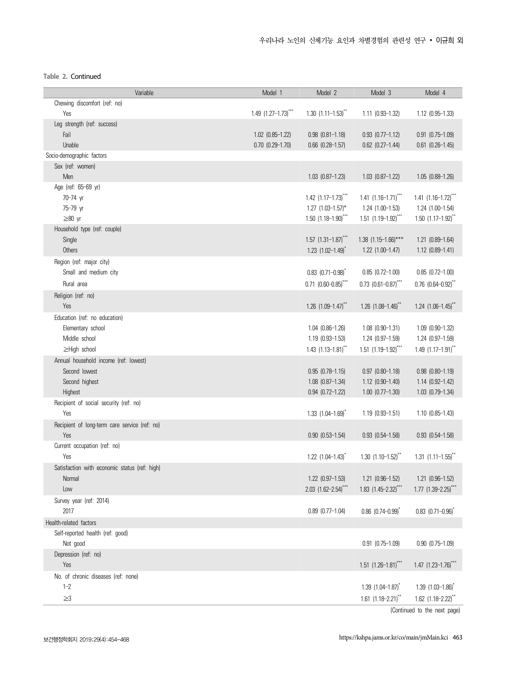**Table 2.** Continued

| Variable                                      | Model 1                  | Model 2                             | Model 3                             | Model 4                            |
|-----------------------------------------------|--------------------------|-------------------------------------|-------------------------------------|------------------------------------|
| Chewing discomfort (ref: no)                  |                          |                                     |                                     |                                    |
| Yes                                           | $1.49$ $(1.27-1.73)$ *** | $1.30$ $(1.11-1.53)^{**}$           | $1.11$ $(0.93 - 1.32)$              | 1.12 (0.95-1.33)                   |
| Leg strength (ref: success)                   |                          |                                     |                                     |                                    |
| Fail                                          | $1.02$ $(0.85-1.22)$     | $0.98$ $(0.81 - 1.18)$              | $0.93$ $(0.77-1.12)$                | $0.91$ $(0.75-1.09)$               |
| Unable                                        | $0.70$ $(0.29-1.70)$     | $0.66$ $(0.28-1.57)$                | $0.62$ $(0.27-1.44)$                | $0.61$ $(0.26-1.45)$               |
| Socio-demographic factors                     |                          |                                     |                                     |                                    |
| Sex (ref: women)                              |                          |                                     |                                     |                                    |
| Men                                           |                          | $1.03$ $(0.87-1.23)$                | $1.03$ $(0.87-1.22)$                | $1.05$ $(0.88-1.26)$               |
| Age (ref: 65-69 yr)                           |                          |                                     |                                     |                                    |
| 70-74 yr                                      |                          | $1.42$ $(1.17-1.73)$ <sup>***</sup> | $1.41$ $(1.16-1.71)$ <sup>***</sup> | $1.41$ $(1.16-1.72)^{***}$         |
| 75-79 yr                                      |                          | $1.27$ $(1.03 - 1.57)^*$            | $1.24$ $(1.00-1.53)$                | 1.24 (1.00-1.54)                   |
| $\geq 80$ yr                                  |                          | $1.50$ $(1.18-1.90)$ ***            | $1.51$ $(1.19-1.92)$ <sup>***</sup> | $1.50$ $(1.17-1.92)$ <sup>**</sup> |
| Household type (ref: couple)                  |                          |                                     |                                     |                                    |
| Single                                        |                          | $1.57$ $(1.31-1.87)$ ***            | $1.38$ $(1.15-1.66)$ ***            | $1.21$ $(0.89 - 1.64)$             |
| Others                                        |                          | 1.23 $(1.02 - 1.49)^{*}$            | $1.22$ $(1.00-1.47)$                | $1.12$ $(0.89 - 1.41)$             |
| Region (ref: major city)                      |                          |                                     |                                     |                                    |
| Small and medium city                         |                          | $0.83$ (0.71-0.98) <sup>*</sup>     | $0.85$ $(0.72-1.00)$                | $0.85$ $(0.72 - 1.00)$             |
| Rural area                                    |                          | $0.71$ $(0.60 - 0.85)$ ***          | $0.73$ $(0.61 - 0.87)$ ***          | $0.76$ $(0.64 - 0.92)^{**}$        |
| Religion (ref: no)                            |                          |                                     |                                     |                                    |
| Yes                                           |                          | 1.26 $(1.09 - 1.47)^{**}$           | 1.26 $(1.08 - 1.46)^{**}$           | $1.24$ $(1.06 - 1.45)^{**}$        |
| Education (ref: no education)                 |                          |                                     |                                     |                                    |
| Elementary school                             |                          | $1.04$ $(0.86-1.26)$                | $1.08$ $(0.90 - 1.31)$              | 1.09 (0.90-1.32)                   |
| Middle school                                 |                          | $1.19$ $(0.93 - 1.53)$              | $1.24$ $(0.97-1.59)$                | $1.24$ $(0.97-1.59)$               |
| ≥High school                                  |                          | 1.43 $(1.13 - 1.81)^{**}$           | $1.51$ $(1.19-1.92)$ ***            | $1.49$ $(1.17-1.91)^{**}$          |
| Annual household income (ref: lowest)         |                          |                                     |                                     |                                    |
| Second lowest                                 |                          | $0.95$ $(0.78-1.15)$                | $0.97$ $(0.80-1.18)$                | $0.98$ $(0.80-1.19)$               |
| Second highest                                |                          | $1.08$ $(0.87-1.34)$                | $1.12$ $(0.90 - 1.40)$              | $1.14$ $(0.92 - 1.42)$             |
| Highest                                       |                          | $0.94$ $(0.72 - 1.22)$              | $1.00$ $(0.77-1.30)$                | 1.03 (0.79-1.34)                   |
| Recipient of social security (ref: no)        |                          |                                     |                                     |                                    |
| Yes                                           |                          | $1.33$ $(1.04 - 1.69)^T$            | $1.19$ $(0.93 - 1.51)$              | $1.10$ $(0.85-1.43)$               |
| Recipient of long-term care service (ref: no) |                          |                                     |                                     |                                    |
| Yes                                           |                          | $0.90$ $(0.53-1.54)$                | $0.93$ $(0.54 - 1.58)$              | $0.93$ $(0.54-1.58)$               |
| Current occupation (ref: no)                  |                          |                                     |                                     |                                    |
| Yes                                           |                          | $1.22$ $(1.04 - 1.43)^{*}$          | 1.30 $(1.10 - 1.52)^{**}$           | $1.31$ $(1.11-1.55)^{**}$          |
| Satisfaction with economic status (ref: high) |                          |                                     |                                     |                                    |
| Normal                                        |                          | 1.22 (0.97-1.53)                    | 1.21 (0.96-1.52)                    | 1.21 (0.96-1.52)                   |
| Low                                           |                          | $2.03$ (1.62-2.54) <sup>***</sup>   | $1.83$ (1.45-2.32) <sup>**</sup>    | 1.77 $(1.39 - 2.25)^{**}$          |
| Survey year (ref: 2014)                       |                          |                                     |                                     |                                    |
| 2017                                          |                          | $0.89$ $(0.77-1.04)$                | $0.86$ $(0.74 - 0.99)^{x}$          | $0.83$ $(0.71 - 0.96)^{*}$         |
| Health-related factors                        |                          |                                     |                                     |                                    |
| Self-reported health (ref: good)              |                          |                                     |                                     |                                    |
| Not good                                      |                          |                                     | $0.91$ $(0.75-1.09)$                | $0.90$ $(0.75 - 1.09)$             |
| Depression (ref: no)                          |                          |                                     |                                     |                                    |
| Yes                                           |                          |                                     | $1.51$ $(1.26-1.81)$ <sup>***</sup> | $1.47$ (1.23-1.76) <sup>***</sup>  |
| No. of chronic diseases (ref: none)           |                          |                                     |                                     |                                    |
| $1 - 2$                                       |                          |                                     | $1.39$ $(1.04 - 1.87)^{x}$          | $1.39$ $(1.03 - 1.86)^T$           |
|                                               |                          |                                     |                                     |                                    |
| $\geq$ 3                                      |                          |                                     | $1.61$ $(1.18 - 2.21)^{**}$         | $1.62$ (1.18-2.22) <sup>**</sup>   |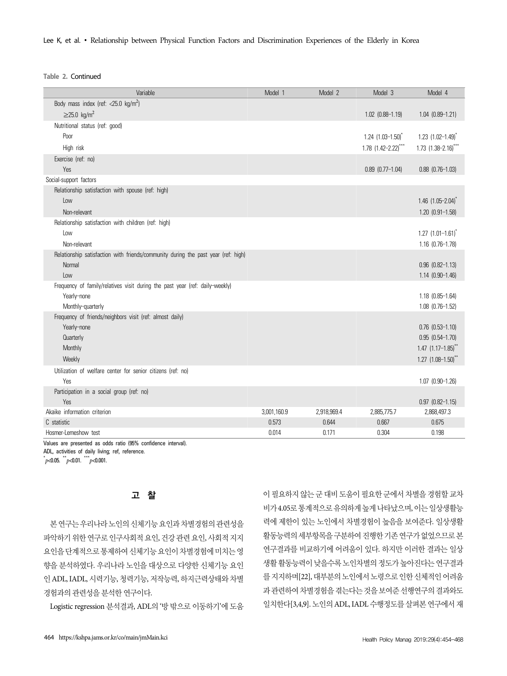Lee K, et al. ∙ Relationship between Physical Function Factors and Discrimination Experiences of the Elderly in Korea

**Table 2.** Continued

| Body mass index (ref: $<$ 25.0 kg/m <sup>2</sup> )<br>$\geq$ 25.0 kg/m <sup>2</sup><br>$1.02$ $(0.88 - 1.19)$<br>$1.04$ $(0.89-1.21)$ |  |
|---------------------------------------------------------------------------------------------------------------------------------------|--|
|                                                                                                                                       |  |
|                                                                                                                                       |  |
| Nutritional status (ref: good)                                                                                                        |  |
| Poor<br>$1.24$ $(1.03 - 1.50)^{*}$<br>$1.23$ (1.02-1.49) <sup>*</sup>                                                                 |  |
| $1.78$ $(1.42 - 2.22)$ ***<br>1.73 $(1.38 - 2.16)^{**}$<br>High risk                                                                  |  |
| Exercise (ref: no)                                                                                                                    |  |
| Yes<br>$0.89$ $(0.77-1.04)$<br>$0.88$ $(0.76-1.03)$                                                                                   |  |
| Social-support factors                                                                                                                |  |
| Relationship satisfaction with spouse (ref: high)                                                                                     |  |
| $1.46$ (1.05-2.04) <sup>*</sup><br>Low                                                                                                |  |
| Non-relevant<br>1.20 (0.91-1.58)                                                                                                      |  |
| Relationship satisfaction with children (ref: high)                                                                                   |  |
| Low<br>$1.27$ $(1.01 - 1.61)^{*}$                                                                                                     |  |
| Non-relevant<br>1.16 (0.76-1.78)                                                                                                      |  |
| Relationship satisfaction with friends/community during the past year (ref: high)                                                     |  |
| $0.96$ $(0.82-1.13)$<br>Normal                                                                                                        |  |
| $1.14$ $(0.90-1.46)$<br>Low                                                                                                           |  |
| Frequency of family/relatives visit during the past year (ref: daily-weekly)                                                          |  |
| Yearly-none<br>$1.18$ $(0.85-1.64)$                                                                                                   |  |
| Monthly-quarterly<br>$1.08$ $(0.76-1.52)$<br>Frequency of friends/neighbors visit (ref: almost daily)                                 |  |
| Yearly-none<br>$0.76$ $(0.53-1.10)$                                                                                                   |  |
| Quarterly<br>$0.95$ $(0.54-1.70)$                                                                                                     |  |
| 1.47 $(1.17 - 1.85)^{**}$<br>Monthly                                                                                                  |  |
| Weekly<br>$1.27$ $(1.08 - 1.50)^{**}$                                                                                                 |  |
| Utilization of welfare center for senior citizens (ref: no)                                                                           |  |
| Yes<br>1.07 (0.90-1.26)                                                                                                               |  |
| Participation in a social group (ref: no)                                                                                             |  |
| Yes<br>$0.97$ $(0.82 - 1.15)$                                                                                                         |  |
| Akaike information criterion<br>3,001,160.9<br>2,918,969.4<br>2,868,497.3<br>2,885,775.7                                              |  |
| C statistic<br>0.573<br>0.644<br>0.667<br>0.675                                                                                       |  |
| Hosmer-Lemeshow test<br>0.014<br>0.171<br>0.304<br>0.198                                                                              |  |

Values are presented as odds ratio (95% confidence interval). ADL, activities of daily living; ref, reference.  $p$  < 0.05.  $p$  < 0.01.  $p$  < 0.001.

# 고 찰

본 연구는 우리나라 노인의 신체기능 요인과 차별경험의 관련성을 파악하기 위한 연구로 인구사회적 요인, 건강 관련 요인, 사회적 지지 요인을 단계적으로 통제하여 신체기능 요인이 차별경험에 미치는 영 향을 분석하였다. 우리나라 노인을 대상으로 다양한 신체기능 요인 인 ADL, IADL, 시력기능, 청력기능, 저작능력, 하지근력상태와 차별 경험과의 관련성을 분석한 연구이다.

Logistic regression 분석결과, ADL의 '방 밖으로 이동하기'에 도움

이 필요하지 않는 군 대비 도움이 필요한 군에서 차별을 경험할 교차 비가 4.05로 통계적으로 유의하게 높게 나타났으며, 이는 일상생활능 력에 제한이 있는 노인에서 차별경험이 높음을 보여준다. 일상생활 활동능력의 세부항목을 구분하여 진행한 기존 연구가 없었으므로 본 연구결과를 비교하기에 어려움이 있다. 하지만 이러한 결과는 일상 생활 활동능력이 낮을수록 노인차별의 정도가 높아진다는 연구결과 를 지지하며[22], 대부분의 노인에서 노령으로 인한 신체적인 어려움 과 관련하여 차별경험을 겪는다는 것을 보여준 선행연구의 결과와도 일치한다[3,4,9]. 노인의 ADL, IADL 수행정도를 살펴본 연구에서 재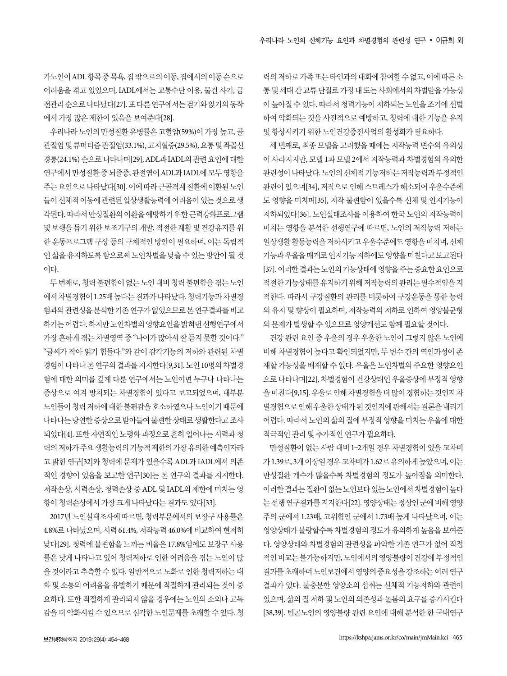가노인이 ADL 항목 중 목욕, 집 밖으로의 이동, 집에서의 이동 순으로 어려움을 겪고 있었으며, IADL에서는 교통수단 이용, 물건 사기, 금 전관리 순으로 나타났다[27]. 또 다른 연구에서는 걷기와 앉기의 동작 에서 가장 많은 제한이 있음을 보여준다[28].

우리나라 노인의 만성질환 유병률은 고혈압(59%)이 가장 높고, 골 관절염 및 류머티즘 관절염(33.1%), 고지혈증(29.5%), 요통 및 좌골신 경통(24.1%) 순으로 나타나며[29], ADL과 IADL의 관련 요인에 대한 연구에서 만성질환 중 뇌졸중, 관절염이 ADL과 IADL에 모두 영향을 주는 요인으로 나타났다[30]. 이에 따라 근골격계 질환에 이환된 노인 들이 신체적 이동에 관련된 일상생활능력에 어려움이 있는 것으로 생 각된다. 따라서 만성질환의 이환을 예방하기 위한 근력강화프로그램 및 보행을 돕기 위한 보조기구의 개발, 적절한 재활 및 건강유지를 위 한 운동프로그램 구상 등의 구체적인 방안이 필요하며, 이는 독립적 인 삶을 유지하도록 함으로써 노인차별을 낮출 수 있는 방안이 될 것 이다.

두 번째로, 청력 불편함이 없는 노인 대비 청력 불편함을 겪는 노인 에서 차별경험이 1.25배 높다는 결과가 나타났다. 청력기능과 차별경 험과의 관련성을 분석한 기존 연구가 없었으므로 본 연구결과를 비교 하기는 어렵다. 하지만 노인차별의 영향요인을 밝혀낸 선행연구에서 가장 흔하게 겪는 차별영역 중 "나이가 많아서 잘 듣지 못할 것이다." "글씨가 작아 읽기 힘들다."와 같이 감각기능의 저하와 관련된 차별 경험이 나타나 본 연구의 결과를 지지한다[9,31]. 노인 10명의 차별경 험에 대한 의미를 깊게 다룬 연구에서는 노인이면 누구나 나타나는 증상으로 여겨 방치되는 차별경험이 있다고 보고되었으며, 대부분 노인들이 청력 저하에 대한 불편감을 호소하였으나 노인이기 때문에 나타나는 당연한 증상으로 받아들여 불편한 상태로 생활한다고 조사 되었다[4]. 또한 자연적인 노령화 과정으로 흔히 일어나는 시력과 청 력의 저하가 주요 생활능력의 기능적 제한의 가장 유의한 예측인자라 고 밝힌 연구[32]와 청력에 문제가 있을수록 ADL과 IADL에서 의존 적인 경향이 있음을 보고한 연구[30]는 본 연구의 결과를 지지한다. 저작손상, 시력손상, 청력손상 중 ADL 및 IADL의 제한에 미치는 영 향이 청력손상에서 가장 크게 나타났다는 결과도 있다[33].

2017년 노인실태조사에 따르면, 청력부문에서의 보장구 사용률은 4.8%로 나타났으며, 시력 61.4%, 저작능력 46.0%에 비교하여 현저히 낮다[29]. 청력에 불편함을 느끼는 비율은 17.8%임에도 보장구 사용 률은 낮게 나타나고 있어 청력저하로 인한 어려움을 겪는 노인이 많 을 것이라고 추측할 수 있다. 일반적으로 노화로 인한 청력저하는 대 화 및 소통의 어려움을 유발하기 때문에 적절하게 관리되는 것이 중 요하다. 또한 적절하게 관리되지 않을 경우에는 노인의 소외나 고독 감을 더 악화시킬 수 있으므로 심각한 노인문제를 초래할 수 있다. 청

력의 저하로 가족 또는 타인과의 대화에 참여할 수 없고, 이에 따른 소 통 및 세대 간 교류 단절로 가정 내 또는 사회에서의 차별받을 가능성 이 높아질 수 있다. 따라서 청력기능이 저하되는 노인을 조기에 선별 하여 악화되는 것을 사전적으로 예방하고, 청력에 대한 기능을 유지 및 향상시키기 위한 노인건강증진사업의 활성화가 필요하다.

세 번째로, 최종 모델을 고려했을 때에는 저작능력 변수의 유의성 이 사라지지만, 모델 1과 모델 2에서 저작능력과 차별경험의 유의한 관련성이 나타났다. 노인의 신체적 기능저하는 저작능력과 부정적인 관련이 있으며[34], 저작으로 인해 스트레스가 해소되어 우울수준에 도 영향을 미치며[35], 저작 불편함이 있을수록 신체 및 인지기능이 저하되었다[36]. 노인실태조사를 이용하여 한국 노인의 저작능력이 미치는 영향을 분석한 선행연구에 따르면, 노인의 저작능력 저하는 일상생활 활동능력을 저하시키고 우울수준에도 영향을 미치며, 신체 기능과 우울을 매개로 인지기능 저하에도 영향을 미친다고 보고된다 [37]. 이러한 결과는 노인의 기능상태에 영향을 주는 중요한 요인으로 적절한 기능상태를 유지하기 위해 저작능력의 관리는 필수적임을 지 적한다. 따라서 구강질환의 관리를 비롯하여 구강운동을 통한 능력 의 유지 및 향상이 필요하며, 저작능력의 저하로 인하여 영양불균형 의 문제가 발생할 수 있으므로 영양개선도 함께 필요할 것이다.

건강 관련 요인 중 우울의 경우 우울한 노인이 그렇지 않은 노인에 비해 차별경험이 높다고 확인되었지만, 두 변수 간의 역인과성이 존 재할 가능성을 배재할 수 없다. 우울은 노인차별의 주요한 영향요인 으로 나타나며[22], 차별경험이 건강상태인 우울증상에 부정적 영향 을 미친다[9,15]. 우울로 인해 차별경험을 더 많이 경험하는 것인지 차 별경험으로 인해 우울한 상태가 된 것인지에 관해서는 결론을 내리기 어렵다. 따라서 노인의 삶의 질에 부정적 영향을 미치는 우울에 대한 적극적인 관리 및 추가적인 연구가 필요하다.

만성질환이 없는 사람 대비 1–2개일 경우 차별경험이 있을 교차비 가 1.39로, 3개 이상일 경우 교차비가 1.62로 유의하게 높았으며, 이는 만성질환 개수가 많을수록 차별경험의 정도가 높아짐을 의미한다. 이러한 결과는 질환이 없는 노인보다 있는 노인에서 차별경험이 높다 는 선행 연구결과를 지지한다[22]. 영양상태는 정상인 군에 비해 영양 주의 군에서 1.23배, 고위험인 군에서 1.73배 높게 나타났으며, 이는 영양상태가 불량할수록 차별경험의 정도가 유의하게 높음을 보여준 다. 영양상태와 차별경험의 관련성을 파악한 기존 연구가 없어 직접 적인 비교는 불가능하지만, 노인에서의 영양불량이 건강에 부정적인 결과를 초래하며 노인보건에서 영양의 중요성을 강조하는 여러 연구 결과가 있다. 불충분한 영양소의 섭취는 신체적 기능저하와 관련이 있으며, 삶의 질 저하 및 노인의 의존성과 돌봄의 요구를 증가시킨다 [38,39]. 빈곤노인의 영양불량 관련 요인에 대해 분석한 한 국내연구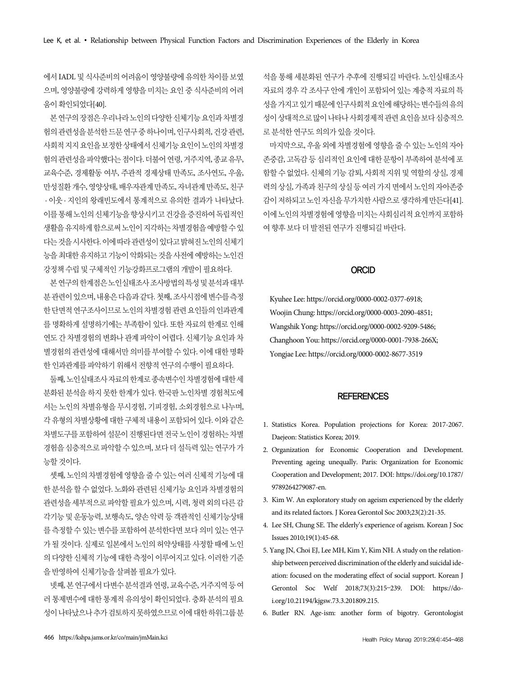에서 IADL 및 식사준비의 어려움이 영양불량에 유의한 차이를 보였 으며, 영양불량에 강력하게 영향을 미치는 요인 중 식사준비의 어려 움이 확인되었다[40].

본 연구의 장점은 우리나라 노인의 다양한 신체기능 요인과 차별경 험의 관련성을 분석한 드문 연구 중 하나이며, 인구사회적, 건강 관련, 사회적 지지 요인을 보정한 상태에서 신체기능 요인이 노인의 차별경 험의 관련성을 파악했다는 점이다. 더불어 연령, 거주지역, 종교 유무, 교육수준, 경제활동 여부, 주관적 경제상태 만족도, 조사연도, 우울, 만성질환 개수, 영양상태, 배우자관계 만족도, 자녀관계 만족도, 친구 · 이웃 · 지인의 왕래빈도에서 통계적으로 유의한 결과가 나타났다. 이를 통해 노인의 신체기능을 향상시키고 건강을 증진하여 독립적인 생활을 유지하게 함으로써 노인이 지각하는 차별경험을 예방할 수 있 다는 것을 시사한다. 이에 따라 관련성이 있다고 밝혀진 노인의 신체기 능을 최대한 유지하고 기능이 악화되는 것을 사전에 예방하는 노인건 강정책 수립 및 구체적인 기능강화프로그램의 개발이 필요하다.

본 연구의 한계점은 노인실태조사 조사방법의 특성 및 분석과 대부 분 관련이 있으며, 내용은 다음과 같다. 첫째, 조사시점에 변수를 측정 한 단면적 연구조사이므로 노인의 차별경험 관련 요인들의 인과관계 를 명확하게 설명하기에는 부족함이 있다. 또한 자료의 한계로 인해 연도 간 차별경험의 변화나 관계 파악이 어렵다. 신체기능 요인과 차 별경험의 관련성에 대해서만 의미를 부여할 수 있다. 이에 대한 명확 한 인과관계를 파악하기 위해서 전향적 연구의 수행이 필요하다.

둘째, 노인실태조사 자료의 한계로 종속변수인 차별경험에 대한 세 분화된 분석을 하지 못한 한계가 있다. 한국판 노인차별 경험척도에 서는 노인의 차별유형을 무시경험, 기피경험, 소외경험으로 나누며, 각 유형의 차별상황에 대한 구체적 내용이 포함되어 있다. 이와 같은 차별도구를 포함하여 설문이 진행된다면 전국 노인이 경험하는 차별 경험을 심층적으로 파악할 수 있으며, 보다 더 설득력 있는 연구가 가 능할 것이다.

셋째, 노인의 차별경험에 영향을 줄 수 있는 여러 신체적 기능에 대 한 분석을 할 수 없었다. 노화와 관련된 신체기능 요인과 차별경험의 관련성을 세부적으로 파악할 필요가 있으며, 시력, 청력 외의 다른 감 각기능 및 운동능력, 보행속도, 양손 악력 등 객관적인 신체기능상태 를 측정할 수 있는 변수를 포함하여 분석한다면 보다 의미 있는 연구 가 될 것이다. 실제로 일본에서 노인의 허약상태를 사정할 때에 노인 의 다양한 신체적 기능에 대한 측정이 이루어지고 있다. 이러한 기준 을 반영하여 신체기능을 살펴볼 필요가 있다.

넷째, 본 연구에서 다변수 분석결과 연령, 교육수준, 거주지역 등 여 러 통제변수에 대한 통계적 유의성이 확인되었다. 층화 분석의 필요 성이 나타났으나 추가 검토하지 못하였으므로 이에 대한 하위그룹 분 석을 통해 세분화된 연구가 추후에 진행되길 바란다. 노인실태조사 자료의 경우 각 조사구 안에 개인이 포함되어 있는 계층적 자료의 특 성을 가지고 있기 때문에 인구사회적 요인에 해당하는 변수들의 유의 성이 상대적으로 많이 나타나 사회경제적 관련 요인을 보다 심층적으 로 분석한 연구도 의의가 있을 것이다.

마지막으로, 우울 외에 차별경험에 영향을 줄 수 있는 노인의 자아 존중감, 고독감 등 심리적인 요인에 대한 문항이 부족하여 분석에 포 함할 수 없었다. 신체의 기능 감퇴, 사회적 지위 및 역할의 상실, 경제 력의 상실, 가족과 친구의 상실 등 여러 가지 면에서 노인의 자아존중 감이 저하되고 노인 자신을 무가치한 사람으로 생각하게 만든다[41]. 이에 노인의 차별경험에 영향을 미치는 사회심리적 요인까지 포함하 여 향후 보다 더 발전된 연구가 진행되길 바란다.

#### ORCID

Kyuhee Lee: https://orcid.org/0000-0002-0377-6918; Woojin Chung: https://orcid.org/0000-0003-2090-4851; Wangshik Yong: https://orcid.org/0000-0002-9209-5486; Changhoon You: https://orcid.org/0000-0001-7938-266X; Yongjae Lee: https://orcid.org/0000-0002-8677-3519

#### **REFERENCES**

- 1. Statistics Korea. Population projections for Korea: 2017-2067. Daejeon: Statistics Korea; 2019.
- 2. Organization for Economic Cooperation and Development. Preventing ageing unequally. Paris: Organization for Economic Cooperation and Development; 2017. DOI: https://doi.org/10.1787/ 9789264279087-en.
- 3. Kim W. An exploratory study on ageism experienced by the elderly and its related factors. J Korea Gerontol Soc 2003;23(2):21-35.
- 4. Lee SH, Chung SE. The elderly's experience of ageism. Korean J Soc Issues 2010;19(1):45-68.
- 5. Yang JN, Choi EJ, Lee MH, Kim Y, Kim NH. A study on the relationship between perceived discrimination of the elderly and suicidal ideation: focused on the moderating effect of social support. Korean J Gerontol Soc Welf 2018;73(3):215–239. DOI: https://doi.org/10.21194/kjgsw.73.3.201809.215.
- 6. Butler RN. Age-ism: another form of bigotry. Gerontologist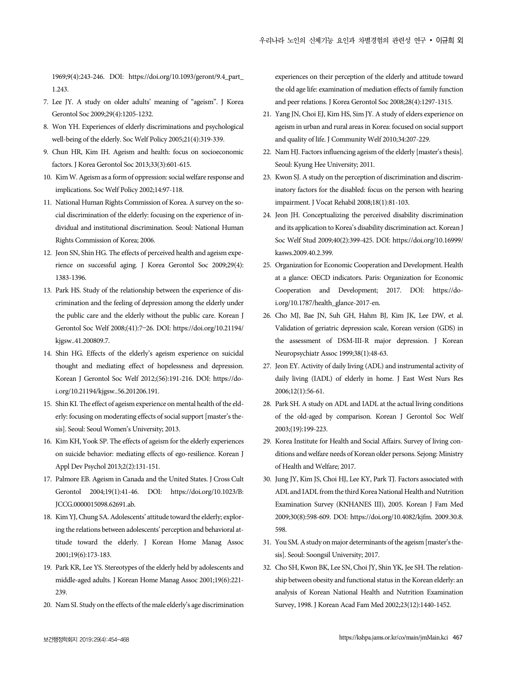1969;9(4):243-246. DOI: https://doi.org/10.1093/geront/9.4\_part\_ 1.243.

- 7. Lee JY. A study on older adults' meaning of "ageism". J Korea Gerontol Soc 2009;29(4):1205-1232.
- 8. Won YH. Experiences of elderly discriminations and psychological well-being of the elderly. Soc Welf Policy 2005;21(4):319-339.
- 9. Chun HR, Kim IH. Ageism and health: focus on socioeconomic factors. J Korea Gerontol Soc 2013;33(3):601-615.
- 10. Kim W. Ageism as a form of oppression: social welfare response and implications. Soc Welf Policy 2002;14:97-118.
- 11. National Human Rights Commission of Korea. A survey on the social discrimination of the elderly: focusing on the experience of individual and institutional discrimination. Seoul: National Human Rights Commission of Korea; 2006.
- 12. Jeon SN, Shin HG. The effects of perceived health and ageism experience on successful aging. J Korea Gerontol Soc 2009;29(4): 1383-1396.
- 13. Park HS. Study of the relationship between the experience of discrimination and the feeling of depression among the elderly under the public care and the elderly without the public care. Korean J Gerontol Soc Welf 2008;(41):7–26. DOI: https://doi.org/10.21194/ kjgsw..41.200809.7.
- 14. Shin HG. Effects of the elderly's ageism experience on suicidal thought and mediating effect of hopelessness and depression. Korean J Gerontol Soc Welf 2012;(56):191-216. DOI: https://doi.org/10.21194/kjgsw..56.201206.191.
- 15. Shin KI. The effect of ageism experience on mental health of the elderly: focusing on moderating effects of social support [master's thesis]. Seoul: Seoul Women's University; 2013.
- 16. Kim KH, Yook SP. The effects of ageism for the elderly experiences on suicide behavior: mediating effects of ego-resilience. Korean J Appl Dev Psychol 2013;2(2):131-151.
- 17. Palmore EB. Ageism in Canada and the United States. J Cross Cult Gerontol 2004;19(1):41-46. DOI: https://doi.org/10.1023/B: JCCG.0000015098.62691.ab.
- 18. Kim YJ, Chung SA. Adolescents' attitude toward the elderly; exploring the relations between adolescents' perception and behavioral attitude toward the elderly. J Korean Home Manag Assoc 2001;19(6):173-183.
- 19. Park KR, Lee YS. Stereotypes of the elderly held by adolescents and middle-aged adults. J Korean Home Manag Assoc 2001;19(6):221- 239.
- 20. Nam SI. Study on the effects of the male elderly's age discrimination

experiences on their perception of the elderly and attitude toward the old age life: examination of mediation effects of family function and peer relations. J Korea Gerontol Soc 2008;28(4):1297-1315.

- 21. Yang JN, Choi EJ, Kim HS, Sim JY. A study of elders experience on ageism in urban and rural areas in Korea: focused on social support and quality of life. J Community Welf 2010;34:207-229.
- 22. Nam HJ. Factors influencing ageism of the elderly [master's thesis]. Seoul: Kyung Hee University; 2011.
- 23. Kwon SJ. A study on the perception of discrimination and discriminatory factors for the disabled: focus on the person with hearing impairment. J Vocat Rehabil 2008;18(1):81-103.
- 24. Jeon JH. Conceptualizing the perceived disability discrimination and its application to Korea's disability discrimination act. Korean J Soc Welf Stud 2009;40(2):399-425. DOI: https://doi.org/10.16999/ kasws.2009.40.2.399.
- 25. Organization for Economic Cooperation and Development. Health at a glance: OECD indicators. Paris: Organization for Economic Cooperation and Development; 2017. DOI: https://doi.org/10.1787/health\_glance-2017-en.
- 26. Cho MJ, Bae JN, Suh GH, Hahm BJ, Kim JK, Lee DW, et al. Validation of geriatric depression scale, Korean version (GDS) in the assessment of DSM-III-R major depression. J Korean Neuropsychiatr Assoc 1999;38(1):48-63.
- 27. Jeon EY. Activity of daily living (ADL) and instrumental activity of daily living (IADL) of elderly in home. J East West Nurs Res 2006;12(1):56-61.
- 28. Park SH. A study on ADL and IADL at the actual living conditions of the old-aged by comparison. Korean J Gerontol Soc Welf 2003;(19):199-223.
- 29. Korea Institute for Health and Social Affairs. Survey of living conditions and welfare needs of Korean older persons. Sejong: Ministry of Health and Welfare; 2017.
- 30. Jung JY, Kim JS, Choi HJ, Lee KY, Park TJ. Factors associated with ADL and IADL from the third Korea National Health and Nutrition Examination Survey (KNHANES III), 2005. Korean J Fam Med 2009;30(8):598-609. DOI: https://doi.org/10.4082/kjfm. 2009.30.8. 598.
- 31. You SM. A study on major determinants of the ageism [master's thesis]. Seoul: Soongsil University; 2017.
- 32. Cho SH, Kwon BK, Lee SN, Choi JY, Shin YK, Jee SH. The relationship between obesity and functional status in the Korean elderly: an analysis of Korean National Health and Nutrition Examination Survey, 1998. J Korean Acad Fam Med 2002;23(12):1440-1452.